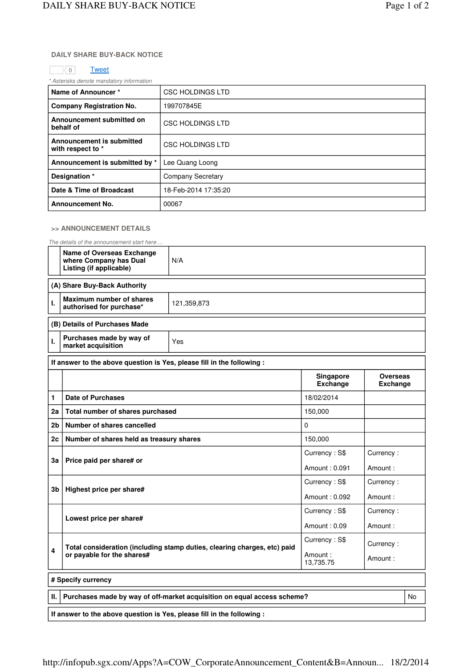## **DAILY SHARE BUY-BACK NOTICE**

## o <mark>Tweet</mark>

\* Asterisks denote mandatory information

| Name of Announcer*                             | <b>CSC HOLDINGS LTD</b>  |  |  |
|------------------------------------------------|--------------------------|--|--|
| <b>Company Registration No.</b>                | 199707845E               |  |  |
| Announcement submitted on<br>behalf of         | <b>CSC HOLDINGS LTD</b>  |  |  |
| Announcement is submitted<br>with respect to * | CSC HOLDINGS LTD         |  |  |
| Announcement is submitted by *                 | Lee Quang Loong          |  |  |
| Designation *                                  | <b>Company Secretary</b> |  |  |
| Date & Time of Broadcast                       | 18-Feb-2014 17:35:20     |  |  |
| <b>Announcement No.</b>                        | 00067                    |  |  |

## **>> ANNOUNCEMENT DETAILS**

The details of the announcement start here ...

|                                                                               | <b>Name of Overseas Exchange</b><br>where Company has Dual<br>Listing (if applicable)                       | N/A           |                              |                                    |  |  |  |  |  |
|-------------------------------------------------------------------------------|-------------------------------------------------------------------------------------------------------------|---------------|------------------------------|------------------------------------|--|--|--|--|--|
| (A) Share Buy-Back Authority                                                  |                                                                                                             |               |                              |                                    |  |  |  |  |  |
| I.                                                                            | Maximum number of shares<br>authorised for purchase*                                                        | 121,359,873   |                              |                                    |  |  |  |  |  |
| (B) Details of Purchases Made                                                 |                                                                                                             |               |                              |                                    |  |  |  |  |  |
| ı.                                                                            | Purchases made by way of<br>market acquisition                                                              | Yes           |                              |                                    |  |  |  |  |  |
|                                                                               | If answer to the above question is Yes, please fill in the following :                                      |               |                              |                                    |  |  |  |  |  |
|                                                                               |                                                                                                             |               | Singapore<br><b>Exchange</b> | <b>Overseas</b><br><b>Exchange</b> |  |  |  |  |  |
| 1                                                                             | <b>Date of Purchases</b>                                                                                    | 18/02/2014    |                              |                                    |  |  |  |  |  |
| 2a                                                                            | Total number of shares purchased                                                                            | 150,000       |                              |                                    |  |  |  |  |  |
| 2b                                                                            | Number of shares cancelled                                                                                  | $\Omega$      |                              |                                    |  |  |  |  |  |
| 2 <sub>c</sub>                                                                | Number of shares held as treasury shares                                                                    | 150,000       |                              |                                    |  |  |  |  |  |
| 3a                                                                            | Price paid per share# or                                                                                    |               | Currency: S\$                | Currency:                          |  |  |  |  |  |
|                                                                               |                                                                                                             |               | Amount: 0.091                | Amount:                            |  |  |  |  |  |
| 3b                                                                            | Highest price per share#                                                                                    | Currency: S\$ | Currency:                    |                                    |  |  |  |  |  |
|                                                                               |                                                                                                             |               | Amount: 0.092                | Amount:                            |  |  |  |  |  |
| Lowest price per share#                                                       |                                                                                                             |               | Currency: S\$                | Currency:                          |  |  |  |  |  |
|                                                                               |                                                                                                             | Amount: 0.09  | Amount:                      |                                    |  |  |  |  |  |
|                                                                               |                                                                                                             |               | Currency: S\$                | Currency:                          |  |  |  |  |  |
|                                                                               | Total consideration (including stamp duties, clearing charges, etc) paid<br>4<br>or payable for the shares# |               | Amount:<br>13,735.75         | Amount:                            |  |  |  |  |  |
| # Specify currency                                                            |                                                                                                             |               |                              |                                    |  |  |  |  |  |
| Purchases made by way of off-market acquisition on equal access scheme?<br>Ш. |                                                                                                             |               |                              |                                    |  |  |  |  |  |
|                                                                               | If answer to the above question is Yes, please fill in the following :                                      |               |                              |                                    |  |  |  |  |  |